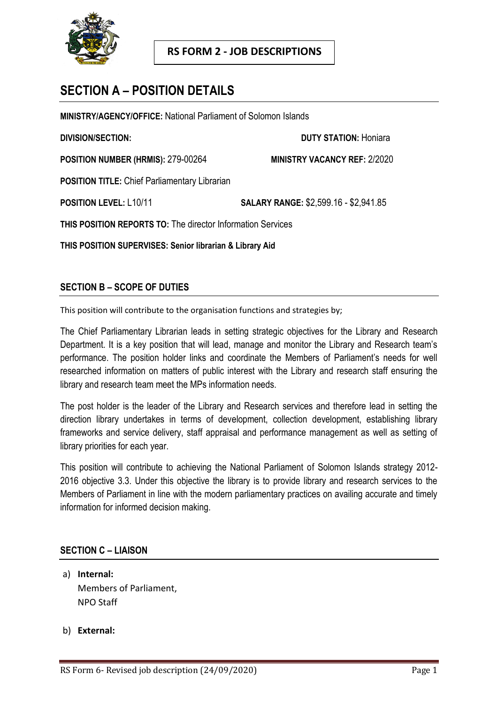

# **SECTION A – POSITION DETAILS**

**MINISTRY/AGENCY/OFFICE:** National Parliament of Solomon Islands

| <b>DIVISION/SECTION:</b>                                           | <b>DUTY STATION: Honiara</b>                 |
|--------------------------------------------------------------------|----------------------------------------------|
| POSITION NUMBER (HRMIS): 279-00264                                 | <b>MINISTRY VACANCY REF: 2/2020</b>          |
| <b>POSITION TITLE: Chief Parliamentary Librarian</b>               |                                              |
| <b>POSITION LEVEL: L10/11</b>                                      | <b>SALARY RANGE: \$2,599.16 - \$2,941.85</b> |
| <b>THIS POSITION REPORTS TO: The director Information Services</b> |                                              |
| THIS POSITION SUPERVISES: Senior librarian & Library Aid           |                                              |

# **SECTION B – SCOPE OF DUTIES**

This position will contribute to the organisation functions and strategies by;

The Chief Parliamentary Librarian leads in setting strategic objectives for the Library and Research Department. It is a key position that will lead, manage and monitor the Library and Research team's performance. The position holder links and coordinate the Members of Parliament's needs for well researched information on matters of public interest with the Library and research staff ensuring the library and research team meet the MPs information needs.

The post holder is the leader of the Library and Research services and therefore lead in setting the direction library undertakes in terms of development, collection development, establishing library frameworks and service delivery, staff appraisal and performance management as well as setting of library priorities for each year.

This position will contribute to achieving the National Parliament of Solomon Islands strategy 2012- 2016 objective 3.3. Under this objective the library is to provide library and research services to the Members of Parliament in line with the modern parliamentary practices on availing accurate and timely information for informed decision making.

## **SECTION C – LIAISON**

- a) **Internal:** Members of Parliament, NPO Staff
- b) **External:**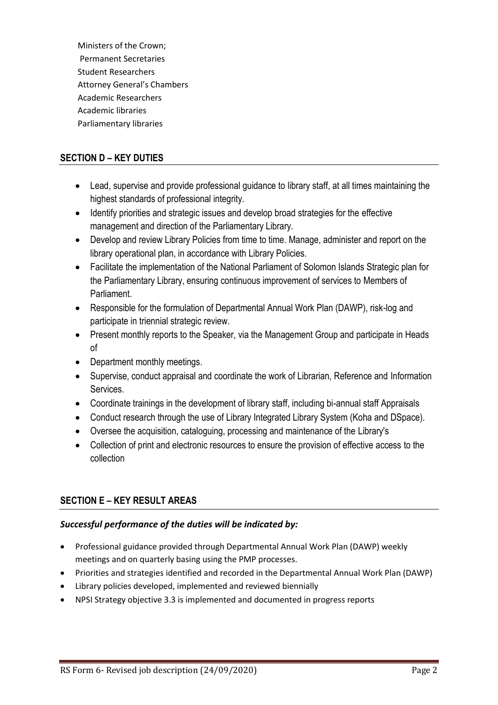Ministers of the Crown; Permanent Secretaries Student Researchers Attorney General's Chambers Academic Researchers Academic libraries Parliamentary libraries

## **SECTION D – KEY DUTIES**

- Lead, supervise and provide professional guidance to library staff, at all times maintaining the highest standards of professional integrity.
- Identify priorities and strategic issues and develop broad strategies for the effective management and direction of the Parliamentary Library.
- Develop and review Library Policies from time to time. Manage, administer and report on the library operational plan, in accordance with Library Policies.
- Facilitate the implementation of the National Parliament of Solomon Islands Strategic plan for the Parliamentary Library, ensuring continuous improvement of services to Members of Parliament.
- Responsible for the formulation of Departmental Annual Work Plan (DAWP), risk-log and participate in triennial strategic review.
- Present monthly reports to the Speaker, via the Management Group and participate in Heads of
- Department monthly meetings.
- Supervise, conduct appraisal and coordinate the work of Librarian, Reference and Information Services.
- Coordinate trainings in the development of library staff, including bi-annual staff Appraisals
- Conduct research through the use of Library Integrated Library System (Koha and DSpace).
- Oversee the acquisition, cataloguing, processing and maintenance of the Library's
- Collection of print and electronic resources to ensure the provision of effective access to the collection

# **SECTION E – KEY RESULT AREAS**

## *Successful performance of the duties will be indicated by:*

- Professional guidance provided through Departmental Annual Work Plan (DAWP) weekly meetings and on quarterly basing using the PMP processes.
- Priorities and strategies identified and recorded in the Departmental Annual Work Plan (DAWP)
- Library policies developed, implemented and reviewed biennially
- NPSI Strategy objective 3.3 is implemented and documented in progress reports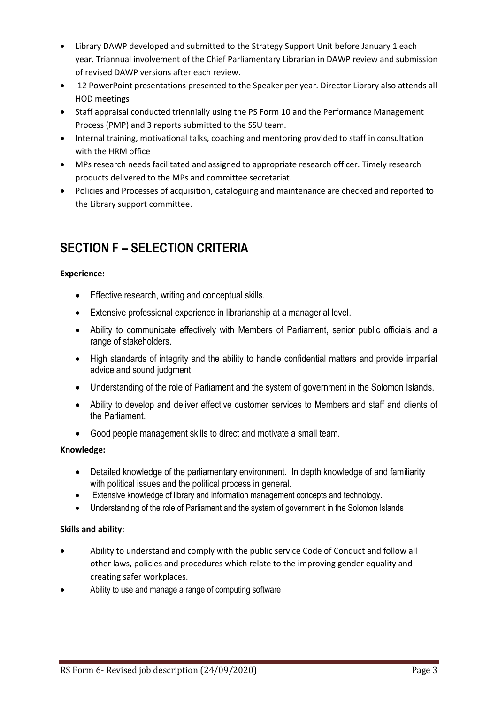- Library DAWP developed and submitted to the Strategy Support Unit before January 1 each year. Triannual involvement of the Chief Parliamentary Librarian in DAWP review and submission of revised DAWP versions after each review.
- 12 PowerPoint presentations presented to the Speaker per year. Director Library also attends all HOD meetings
- Staff appraisal conducted triennially using the PS Form 10 and the Performance Management Process (PMP) and 3 reports submitted to the SSU team.
- Internal training, motivational talks, coaching and mentoring provided to staff in consultation with the HRM office
- MPs research needs facilitated and assigned to appropriate research officer. Timely research products delivered to the MPs and committee secretariat.
- Policies and Processes of acquisition, cataloguing and maintenance are checked and reported to the Library support committee.

# **SECTION F – SELECTION CRITERIA**

### **Experience:**

- Effective research, writing and conceptual skills.
- Extensive professional experience in librarianship at a managerial level.
- Ability to communicate effectively with Members of Parliament, senior public officials and a range of stakeholders.
- High standards of integrity and the ability to handle confidential matters and provide impartial advice and sound judgment.
- Understanding of the role of Parliament and the system of government in the Solomon Islands.
- Ability to develop and deliver effective customer services to Members and staff and clients of the Parliament.
- Good people management skills to direct and motivate a small team.

#### **Knowledge:**

- Detailed knowledge of the parliamentary environment. In depth knowledge of and familiarity with political issues and the political process in general.
- Extensive knowledge of library and information management concepts and technology.
- Understanding of the role of Parliament and the system of government in the Solomon Islands

#### **Skills and ability:**

- Ability to understand and comply with the public service Code of Conduct and follow all other laws, policies and procedures which relate to the improving gender equality and creating safer workplaces.
- Ability to use and manage a range of computing software